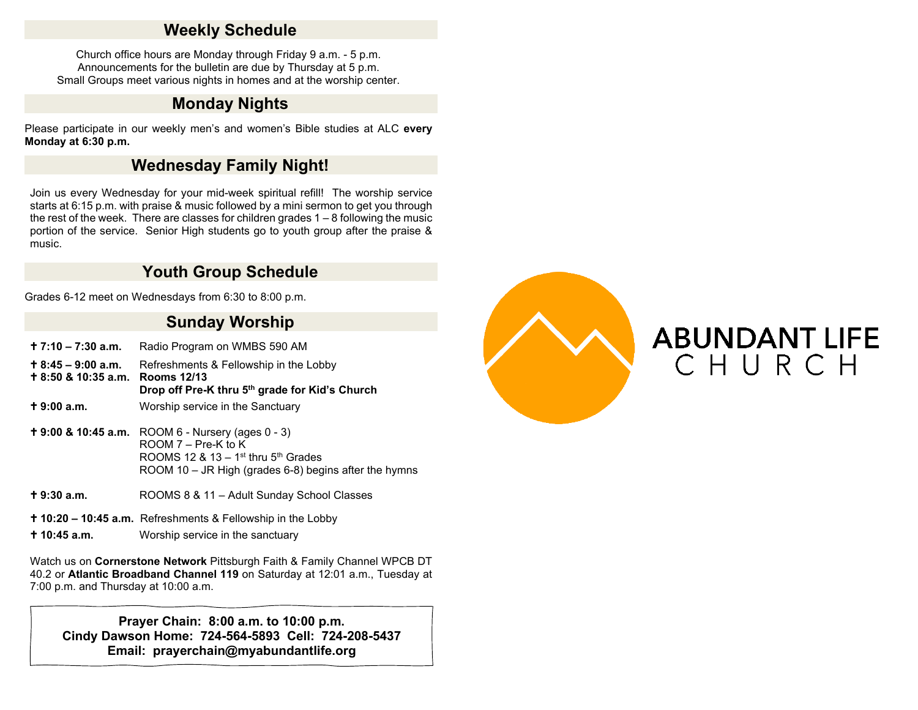### **Weekly Schedule**

Church office hours are Monday through Friday 9 a.m. - 5 p.m. Announcements for the bulletin are due by Thursday at 5 p.m. Small Groups meet various nights in homes and at the worship center.

## **Monday Nights**

Please participate in our weekly men's and women's Bible studies at ALC **every Monday at 6:30 p.m.**

## **Wednesday Family Night!**

Join us every Wednesday for your mid-week spiritual refill! The worship service starts at 6:15 p.m. with praise & music followed by a mini sermon to get you through the rest of the week. There are classes for children grades  $1 - 8$  following the music portion of the service. Senior High students go to youth group after the praise & music.

# **Youth Group Schedule**

Grades 6-12 meet on Wednesdays from 6:30 to 8:00 p.m.

### **Sunday Worship**

| $+7:10 - 7:30$ a.m.                                           | Radio Program on WMBS 590 AM                                                                                                                                                                          |
|---------------------------------------------------------------|-------------------------------------------------------------------------------------------------------------------------------------------------------------------------------------------------------|
| $\pm$ 8:45 – 9:00 a.m.<br>$\pm$ 8:50 & 10:35 a.m. Rooms 12/13 | Refreshments & Fellowship in the Lobby<br>Drop off Pre-K thru 5 <sup>th</sup> grade for Kid's Church                                                                                                  |
| $+9:00a.m.$                                                   | Worship service in the Sanctuary                                                                                                                                                                      |
|                                                               | <b>+ 9:00 &amp; 10:45 a.m.</b> ROOM 6 - Nursery (ages $0 - 3$ )<br>$ROM 7 - Pre-K to K$<br>ROOMS 12 & 13 – 1 <sup>st</sup> thru $5th$ Grades<br>ROOM 10 – JR High (grades 6-8) begins after the hymns |
| $+9:30a.m.$                                                   | ROOMS 8 & 11 - Adult Sunday School Classes                                                                                                                                                            |

- **10:20 10:45 a.m.** Refreshments & Fellowship in the Lobby
- **10:45 a.m.** Worship service in the sanctuary

Watch us on **Cornerstone Network** Pittsburgh Faith & Family Channel WPCB DT 40.2 or **Atlantic Broadband Channel 119** on Saturday at 12:01 a.m., Tuesday at 7:00 p.m. and Thursday at 10:00 a.m.

**Prayer Chain: 8:00 a.m. to 10:00 p.m. Cindy Dawson Home: 724-564-5893 Cell: 724-208-5437 Email: prayerchain@myabundantlife.org**



# **ABUNDANT LIFE** CHURCH